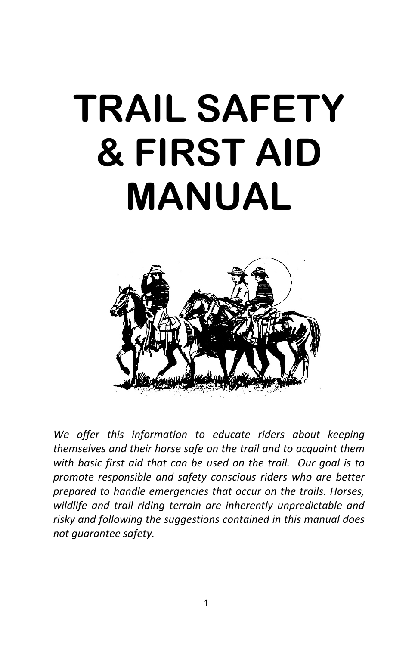# **TRAIL SAFETY & FIRST AID MANUAL**



*We offer this information to educate riders about keeping themselves and their horse safe on the trail and to acquaint them with basic first aid that can be used on the trail. Our goal is to promote responsible and safety conscious riders who are better prepared to handle emergencies that occur on the trails. Horses, wildlife and trail riding terrain are inherently unpredictable and risky and following the suggestions contained in this manual does not guarantee safety.*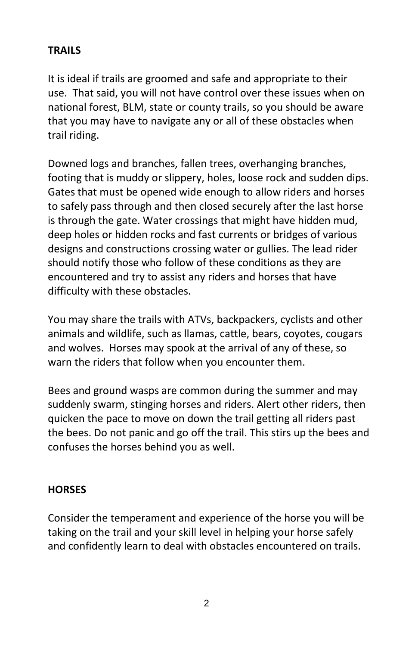# **TRAILS**

It is ideal if trails are groomed and safe and appropriate to their use. That said, you will not have control over these issues when on national forest, BLM, state or county trails, so you should be aware that you may have to navigate any or all of these obstacles when trail riding.

Downed logs and branches, fallen trees, overhanging branches, footing that is muddy or slippery, holes, loose rock and sudden dips. Gates that must be opened wide enough to allow riders and horses to safely pass through and then closed securely after the last horse is through the gate. Water crossings that might have hidden mud, deep holes or hidden rocks and fast currents or bridges of various designs and constructions crossing water or gullies. The lead rider should notify those who follow of these conditions as they are encountered and try to assist any riders and horses that have difficulty with these obstacles.

You may share the trails with ATVs, backpackers, cyclists and other animals and wildlife, such as llamas, cattle, bears, coyotes, cougars and wolves. Horses may spook at the arrival of any of these, so warn the riders that follow when you encounter them.

Bees and ground wasps are common during the summer and may suddenly swarm, stinging horses and riders. Alert other riders, then quicken the pace to move on down the trail getting all riders past the bees. Do not panic and go off the trail. This stirs up the bees and confuses the horses behind you as well.

#### **HORSES**

Consider the temperament and experience of the horse you will be taking on the trail and your skill level in helping your horse safely and confidently learn to deal with obstacles encountered on trails.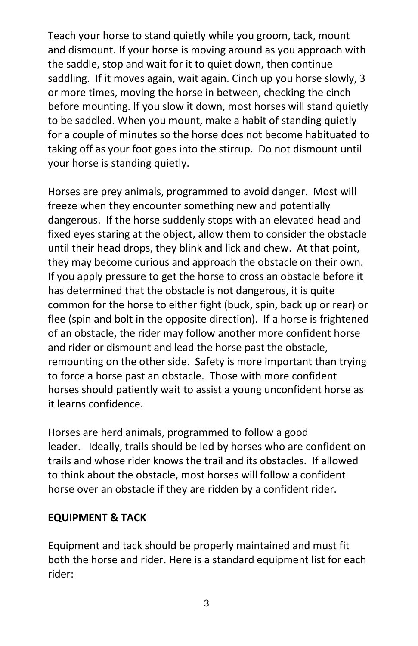Teach your horse to stand quietly while you groom, tack, mount and dismount. If your horse is moving around as you approach with the saddle, stop and wait for it to quiet down, then continue saddling. If it moves again, wait again. Cinch up you horse slowly, 3 or more times, moving the horse in between, checking the cinch before mounting. If you slow it down, most horses will stand quietly to be saddled. When you mount, make a habit of standing quietly for a couple of minutes so the horse does not become habituated to taking off as your foot goes into the stirrup. Do not dismount until your horse is standing quietly.

Horses are prey animals, programmed to avoid danger. Most will freeze when they encounter something new and potentially dangerous. If the horse suddenly stops with an elevated head and fixed eyes staring at the object, allow them to consider the obstacle until their head drops, they blink and lick and chew. At that point, they may become curious and approach the obstacle on their own. If you apply pressure to get the horse to cross an obstacle before it has determined that the obstacle is not dangerous, it is quite common for the horse to either fight (buck, spin, back up or rear) or flee (spin and bolt in the opposite direction). If a horse is frightened of an obstacle, the rider may follow another more confident horse and rider or dismount and lead the horse past the obstacle, remounting on the other side. Safety is more important than trying to force a horse past an obstacle. Those with more confident horses should patiently wait to assist a young unconfident horse as it learns confidence.

Horses are herd animals, programmed to follow a good leader. Ideally, trails should be led by horses who are confident on trails and whose rider knows the trail and its obstacles. If allowed to think about the obstacle, most horses will follow a confident horse over an obstacle if they are ridden by a confident rider.

#### **EQUIPMENT & TACK**

Equipment and tack should be properly maintained and must fit both the horse and rider. Here is a standard equipment list for each rider: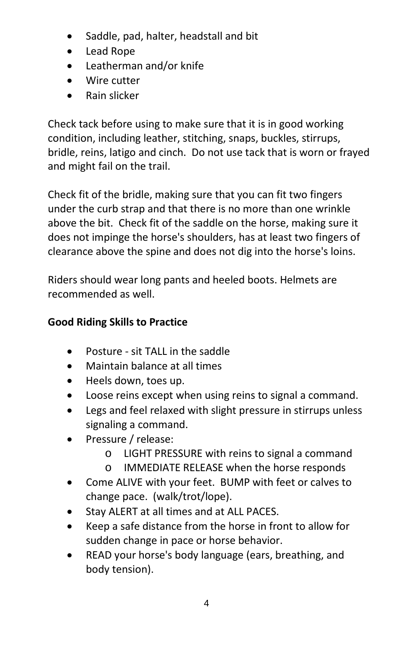- Saddle, pad, halter, headstall and bit
- Lead Rope
- Leatherman and/or knife
- Wire cutter
- Rain slicker

Check tack before using to make sure that it is in good working condition, including leather, stitching, snaps, buckles, stirrups, bridle, reins, latigo and cinch. Do not use tack that is worn or frayed and might fail on the trail.

Check fit of the bridle, making sure that you can fit two fingers under the curb strap and that there is no more than one wrinkle above the bit. Check fit of the saddle on the horse, making sure it does not impinge the horse's shoulders, has at least two fingers of clearance above the spine and does not dig into the horse's loins.

Riders should wear long pants and heeled boots. Helmets are recommended as well.

## **Good Riding Skills to Practice**

- Posture sit TALL in the saddle
- Maintain balance at all times
- Heels down, toes up.
- Loose reins except when using reins to signal a command.
- Legs and feel relaxed with slight pressure in stirrups unless signaling a command.
- Pressure / release:
	- o LIGHT PRESSURE with reins to signal a command
	- o IMMEDIATE RELEASE when the horse responds
- Come ALIVE with your feet. BUMP with feet or calves to change pace. (walk/trot/lope).
- Stay ALERT at all times and at ALL PACES.
- Keep a safe distance from the horse in front to allow for sudden change in pace or horse behavior.
- READ your horse's body language (ears, breathing, and body tension).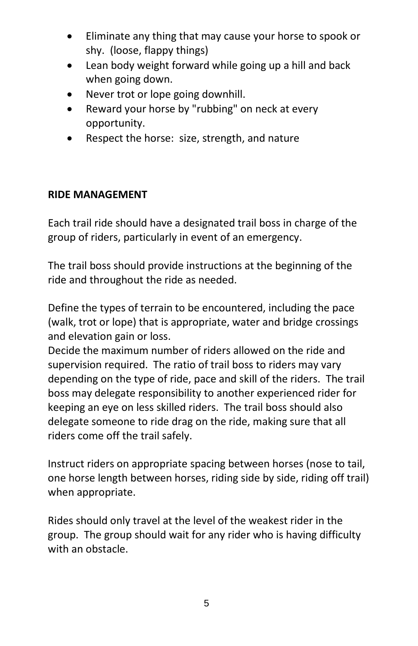- Eliminate any thing that may cause your horse to spook or shy. (loose, flappy things)
- Lean body weight forward while going up a hill and back when going down.
- Never trot or lope going downhill.
- Reward your horse by "rubbing" on neck at every opportunity.
- Respect the horse: size, strength, and nature

## **RIDE MANAGEMENT**

Each trail ride should have a designated trail boss in charge of the group of riders, particularly in event of an emergency.

The trail boss should provide instructions at the beginning of the ride and throughout the ride as needed.

Define the types of terrain to be encountered, including the pace (walk, trot or lope) that is appropriate, water and bridge crossings and elevation gain or loss.

Decide the maximum number of riders allowed on the ride and supervision required. The ratio of trail boss to riders may vary depending on the type of ride, pace and skill of the riders. The trail boss may delegate responsibility to another experienced rider for keeping an eye on less skilled riders. The trail boss should also delegate someone to ride drag on the ride, making sure that all riders come off the trail safely.

Instruct riders on appropriate spacing between horses (nose to tail, one horse length between horses, riding side by side, riding off trail) when appropriate.

Rides should only travel at the level of the weakest rider in the group. The group should wait for any rider who is having difficulty with an obstacle.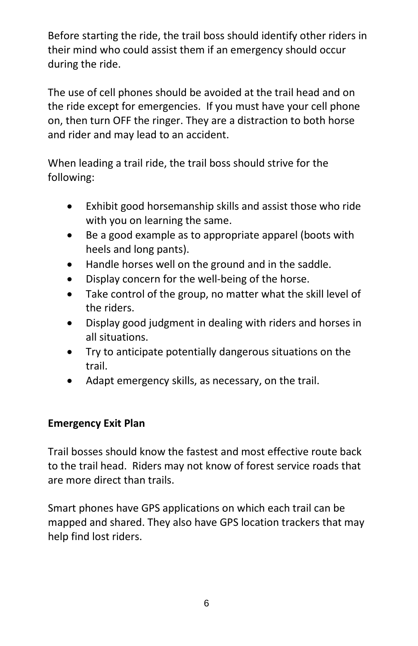Before starting the ride, the trail boss should identify other riders in their mind who could assist them if an emergency should occur during the ride.

The use of cell phones should be avoided at the trail head and on the ride except for emergencies. If you must have your cell phone on, then turn OFF the ringer. They are a distraction to both horse and rider and may lead to an accident.

When leading a trail ride, the trail boss should strive for the following:

- Exhibit good horsemanship skills and assist those who ride with you on learning the same.
- Be a good example as to appropriate apparel (boots with heels and long pants).
- Handle horses well on the ground and in the saddle.
- Display concern for the well-being of the horse.
- Take control of the group, no matter what the skill level of the riders.
- Display good judgment in dealing with riders and horses in all situations.
- Try to anticipate potentially dangerous situations on the trail.
- Adapt emergency skills, as necessary, on the trail.

#### **Emergency Exit Plan**

Trail bosses should know the fastest and most effective route back to the trail head. Riders may not know of forest service roads that are more direct than trails.

Smart phones have GPS applications on which each trail can be mapped and shared. They also have GPS location trackers that may help find lost riders.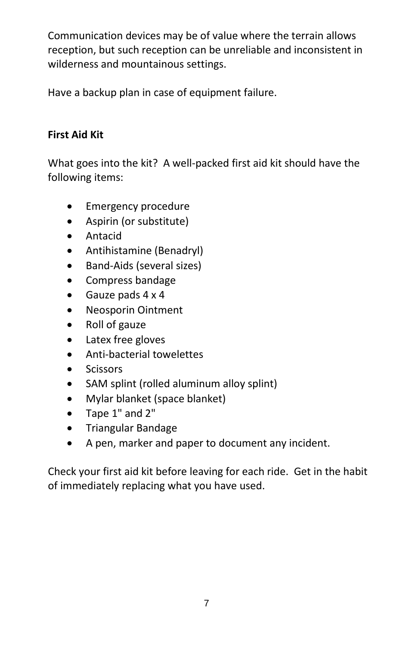Communication devices may be of value where the terrain allows reception, but such reception can be unreliable and inconsistent in wilderness and mountainous settings.

Have a backup plan in case of equipment failure.

# **First Aid Kit**

What goes into the kit? A well-packed first aid kit should have the following items:

- Emergency procedure
- Aspirin (or substitute)
- Antacid
- Antihistamine (Benadryl)
- Band-Aids (several sizes)
- Compress bandage
- Gauze pads 4 x 4
- Neosporin Ointment
- Roll of gauze
- Latex free gloves
- Anti-bacterial towelettes
- Scissors
- SAM splint (rolled aluminum alloy splint)
- Mylar blanket (space blanket)
- Tape 1" and 2"
- Triangular Bandage
- A pen, marker and paper to document any incident.

Check your first aid kit before leaving for each ride. Get in the habit of immediately replacing what you have used.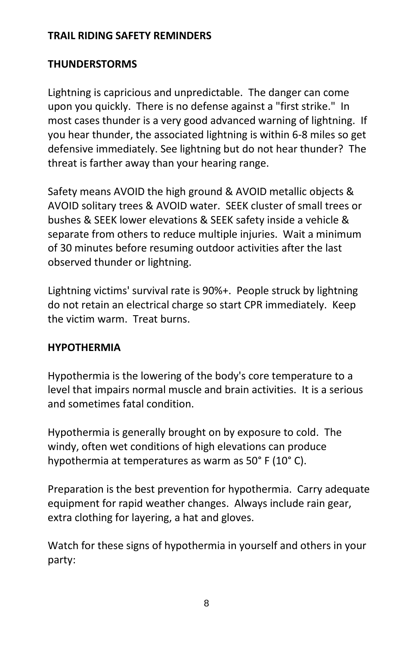#### **TRAIL RIDING SAFETY REMINDERS**

### **THUNDERSTORMS**

Lightning is capricious and unpredictable. The danger can come upon you quickly. There is no defense against a "first strike." In most cases thunder is a very good advanced warning of lightning. If you hear thunder, the associated lightning is within 6-8 miles so get defensive immediately. See lightning but do not hear thunder? The threat is farther away than your hearing range.

Safety means AVOID the high ground & AVOID metallic objects & AVOID solitary trees & AVOID water. SEEK cluster of small trees or bushes & SEEK lower elevations & SEEK safety inside a vehicle & separate from others to reduce multiple injuries. Wait a minimum of 30 minutes before resuming outdoor activities after the last observed thunder or lightning.

Lightning victims' survival rate is 90%+. People struck by lightning do not retain an electrical charge so start CPR immediately. Keep the victim warm. Treat burns.

## **HYPOTHERMIA**

Hypothermia is the lowering of the body's core temperature to a level that impairs normal muscle and brain activities. It is a serious and sometimes fatal condition.

Hypothermia is generally brought on by exposure to cold. The windy, often wet conditions of high elevations can produce hypothermia at temperatures as warm as 50° F (10° C).

Preparation is the best prevention for hypothermia. Carry adequate equipment for rapid weather changes. Always include rain gear, extra clothing for layering, a hat and gloves.

Watch for these signs of hypothermia in yourself and others in your party: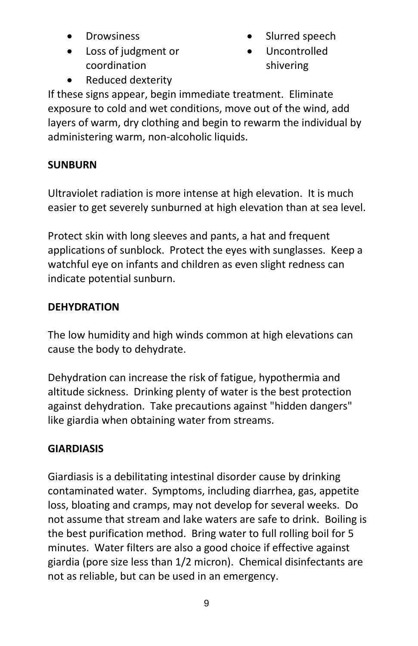- **Drowsiness**
- Loss of judgment or coordination
- Slurred speech
- Uncontrolled shivering

Reduced dexterity

If these signs appear, begin immediate treatment. Eliminate exposure to cold and wet conditions, move out of the wind, add layers of warm, dry clothing and begin to rewarm the individual by administering warm, non-alcoholic liquids.

# **SUNBURN**

Ultraviolet radiation is more intense at high elevation. It is much easier to get severely sunburned at high elevation than at sea level.

Protect skin with long sleeves and pants, a hat and frequent applications of sunblock. Protect the eyes with sunglasses. Keep a watchful eye on infants and children as even slight redness can indicate potential sunburn.

# **DEHYDRATION**

The low humidity and high winds common at high elevations can cause the body to dehydrate.

Dehydration can increase the risk of fatigue, hypothermia and altitude sickness. Drinking plenty of water is the best protection against dehydration. Take precautions against "hidden dangers" like giardia when obtaining water from streams.

# **GIARDIASIS**

Giardiasis is a debilitating intestinal disorder cause by drinking contaminated water. Symptoms, including diarrhea, gas, appetite loss, bloating and cramps, may not develop for several weeks. Do not assume that stream and lake waters are safe to drink. Boiling is the best purification method. Bring water to full rolling boil for 5 minutes. Water filters are also a good choice if effective against giardia (pore size less than 1/2 micron). Chemical disinfectants are not as reliable, but can be used in an emergency.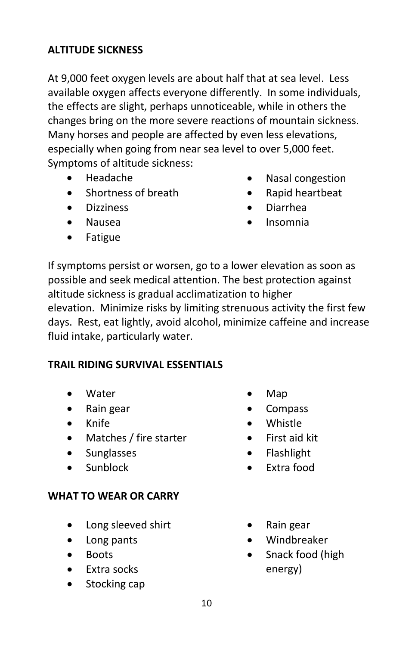## **ALTITUDE SICKNESS**

At 9,000 feet oxygen levels are about half that at sea level. Less available oxygen affects everyone differently. In some individuals, the effects are slight, perhaps unnoticeable, while in others the changes bring on the more severe reactions of mountain sickness. Many horses and people are affected by even less elevations, especially when going from near sea level to over 5,000 feet. Symptoms of altitude sickness:

- Headache
- Shortness of breath
- Dizziness
- Nausea
- Fatigue
- Nasal congestion
- Rapid heartbeat
- Diarrhea
- Insomnia

If symptoms persist or worsen, go to a lower elevation as soon as possible and seek medical attention. The best protection against altitude sickness is gradual acclimatization to higher

elevation. Minimize risks by limiting strenuous activity the first few days. Rest, eat lightly, avoid alcohol, minimize caffeine and increase fluid intake, particularly water.

#### **TRAIL RIDING SURVIVAL ESSENTIALS**

- Water
- Rain gear
- Knife
- Matches / fire starter
- Sunglasses
- Sunblock

#### **WHAT TO WEAR OR CARRY**

- Long sleeved shirt
- Long pants
- Boots
- Extra socks
- Stocking cap
- Map
- Compass
- Whistle
- First aid kit
- Flashlight
- Extra food
- Rain gear
- Windbreaker
- Snack food (high energy)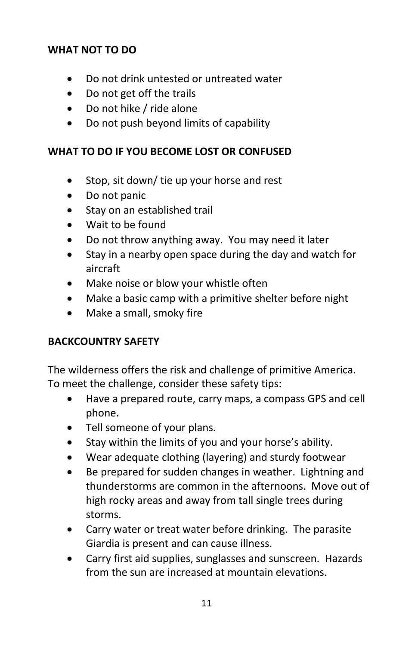#### **WHAT NOT TO DO**

- Do not drink untested or untreated water
- Do not get off the trails
- Do not hike / ride alone
- Do not push beyond limits of capability

#### **WHAT TO DO IF YOU BECOME LOST OR CONFUSED**

- Stop, sit down/ tie up your horse and rest
- Do not panic
- Stay on an established trail
- Wait to be found
- Do not throw anything away. You may need it later
- Stay in a nearby open space during the day and watch for aircraft
- Make noise or blow your whistle often
- Make a basic camp with a primitive shelter before night
- Make a small, smoky fire

#### **BACKCOUNTRY SAFETY**

The wilderness offers the risk and challenge of primitive America. To meet the challenge, consider these safety tips:

- Have a prepared route, carry maps, a compass GPS and cell phone.
- Tell someone of your plans.
- Stay within the limits of you and your horse's ability.
- Wear adequate clothing (layering) and sturdy footwear
- Be prepared for sudden changes in weather. Lightning and thunderstorms are common in the afternoons. Move out of high rocky areas and away from tall single trees during storms.
- Carry water or treat water before drinking. The parasite Giardia is present and can cause illness.
- Carry first aid supplies, sunglasses and sunscreen. Hazards from the sun are increased at mountain elevations.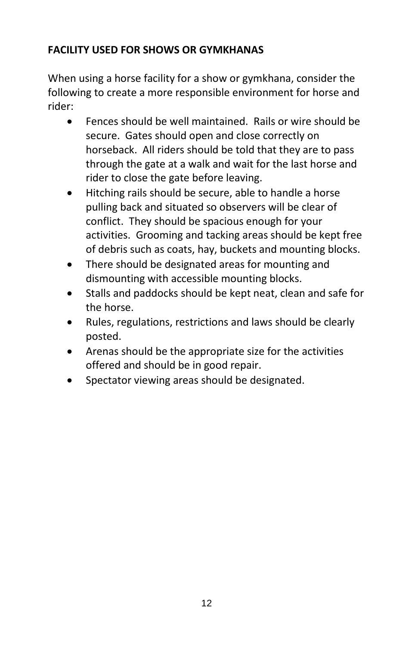# **FACILITY USED FOR SHOWS OR GYMKHANAS**

When using a horse facility for a show or gymkhana, consider the following to create a more responsible environment for horse and rider:

- Fences should be well maintained. Rails or wire should be secure. Gates should open and close correctly on horseback. All riders should be told that they are to pass through the gate at a walk and wait for the last horse and rider to close the gate before leaving.
- Hitching rails should be secure, able to handle a horse pulling back and situated so observers will be clear of conflict. They should be spacious enough for your activities. Grooming and tacking areas should be kept free of debris such as coats, hay, buckets and mounting blocks.
- There should be designated areas for mounting and dismounting with accessible mounting blocks.
- Stalls and paddocks should be kept neat, clean and safe for the horse.
- Rules, regulations, restrictions and laws should be clearly posted.
- Arenas should be the appropriate size for the activities offered and should be in good repair.
- Spectator viewing areas should be designated.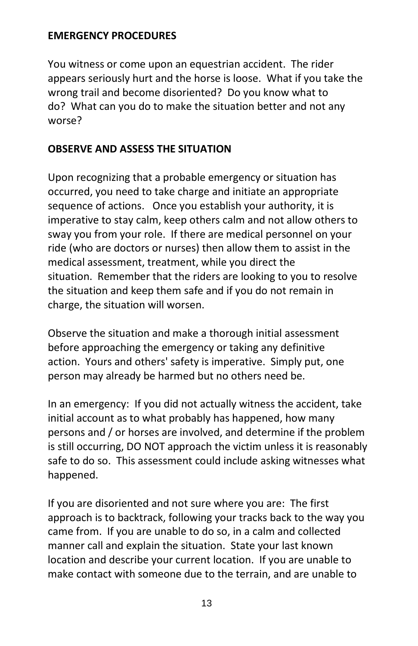#### **EMERGENCY PROCEDURES**

You witness or come upon an equestrian accident. The rider appears seriously hurt and the horse is loose. What if you take the wrong trail and become disoriented? Do you know what to do? What can you do to make the situation better and not any worse?

#### **OBSERVE AND ASSESS THE SITUATION**

Upon recognizing that a probable emergency or situation has occurred, you need to take charge and initiate an appropriate sequence of actions. Once you establish your authority, it is imperative to stay calm, keep others calm and not allow others to sway you from your role. If there are medical personnel on your ride (who are doctors or nurses) then allow them to assist in the medical assessment, treatment, while you direct the situation. Remember that the riders are looking to you to resolve the situation and keep them safe and if you do not remain in charge, the situation will worsen.

Observe the situation and make a thorough initial assessment before approaching the emergency or taking any definitive action. Yours and others' safety is imperative. Simply put, one person may already be harmed but no others need be.

In an emergency: If you did not actually witness the accident, take initial account as to what probably has happened, how many persons and / or horses are involved, and determine if the problem is still occurring, DO NOT approach the victim unless it is reasonably safe to do so. This assessment could include asking witnesses what happened.

If you are disoriented and not sure where you are: The first approach is to backtrack, following your tracks back to the way you came from. If you are unable to do so, in a calm and collected manner call and explain the situation. State your last known location and describe your current location. If you are unable to make contact with someone due to the terrain, and are unable to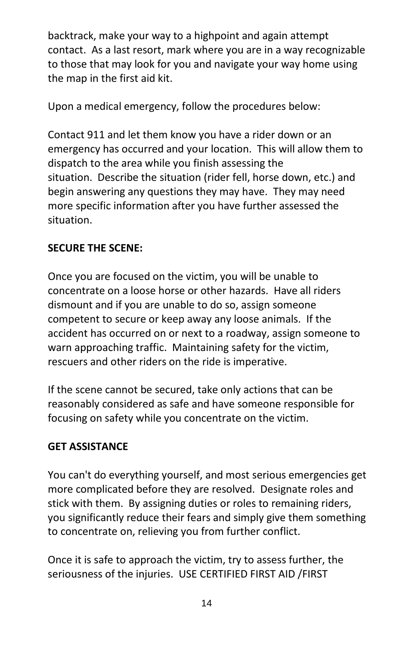backtrack, make your way to a highpoint and again attempt contact. As a last resort, mark where you are in a way recognizable to those that may look for you and navigate your way home using the map in the first aid kit.

Upon a medical emergency, follow the procedures below:

Contact 911 and let them know you have a rider down or an emergency has occurred and your location. This will allow them to dispatch to the area while you finish assessing the situation. Describe the situation (rider fell, horse down, etc.) and begin answering any questions they may have. They may need more specific information after you have further assessed the situation.

# **SECURE THE SCENE:**

Once you are focused on the victim, you will be unable to concentrate on a loose horse or other hazards. Have all riders dismount and if you are unable to do so, assign someone competent to secure or keep away any loose animals. If the accident has occurred on or next to a roadway, assign someone to warn approaching traffic. Maintaining safety for the victim, rescuers and other riders on the ride is imperative.

If the scene cannot be secured, take only actions that can be reasonably considered as safe and have someone responsible for focusing on safety while you concentrate on the victim.

# **GET ASSISTANCE**

You can't do everything yourself, and most serious emergencies get more complicated before they are resolved. Designate roles and stick with them. By assigning duties or roles to remaining riders, you significantly reduce their fears and simply give them something to concentrate on, relieving you from further conflict.

Once it is safe to approach the victim, try to assess further, the seriousness of the injuries. USE CERTIFIED FIRST AID /FIRST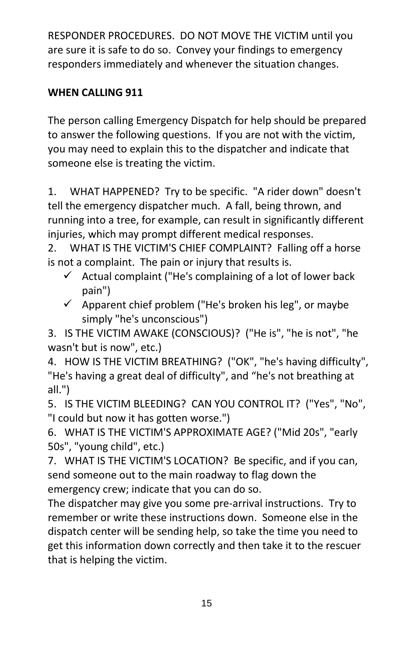RESPONDER PROCEDURES. DO NOT MOVE THE VICTIM until you are sure it is safe to do so. Convey your findings to emergency responders immediately and whenever the situation changes.

# **WHEN CALLING 911**

The person calling Emergency Dispatch for help should be prepared to answer the following questions. If you are not with the victim, you may need to explain this to the dispatcher and indicate that someone else is treating the victim.

1. WHAT HAPPENED? Try to be specific. "A rider down" doesn't tell the emergency dispatcher much. A fall, being thrown, and running into a tree, for example, can result in significantly different injuries, which may prompt different medical responses.

2. WHAT IS THE VICTIM'S CHIEF COMPLAINT? Falling off a horse is not a complaint. The pain or injury that results is.

- $\checkmark$  Actual complaint ("He's complaining of a lot of lower back pain")
- $\checkmark$  Apparent chief problem ("He's broken his leg", or maybe simply "he's unconscious")

3. IS THE VICTIM AWAKE (CONSCIOUS)? ("He is", "he is not", "he wasn't but is now", etc.)

4. HOW IS THE VICTIM BREATHING? ("OK", "he's having difficulty", "He's having a great deal of difficulty", and "he's not breathing at all.")

5. IS THE VICTIM BLEEDING? CAN YOU CONTROL IT? ("Yes", "No", "I could but now it has gotten worse.")

6. WHAT IS THE VICTIM'S APPROXIMATE AGE? ("Mid 20s", "early 50s", "young child", etc.)

7. WHAT IS THE VICTIM'S LOCATION? Be specific, and if you can, send someone out to the main roadway to flag down the emergency crew; indicate that you can do so.

The dispatcher may give you some pre-arrival instructions. Try to remember or write these instructions down. Someone else in the dispatch center will be sending help, so take the time you need to get this information down correctly and then take it to the rescuer that is helping the victim.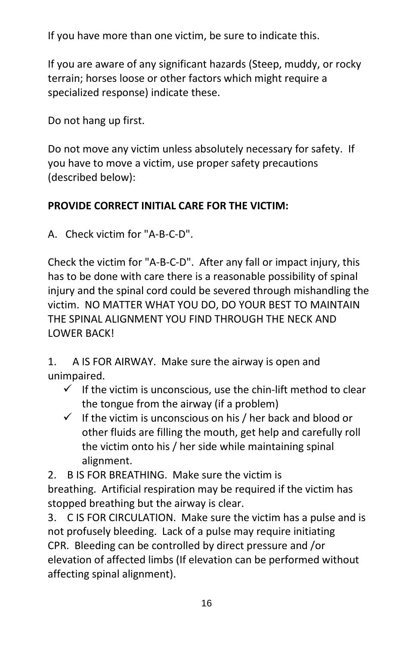If you have more than one victim, be sure to indicate this.

If you are aware of any significant hazards (Steep, muddy, or rocky terrain; horses loose or other factors which might require a specialized response) indicate these.

Do not hang up first.

Do not move any victim unless absolutely necessary for safety. If you have to move a victim, use proper safety precautions (described below):

# **PROVIDE CORRECT INITIAL CARE FOR THE VICTIM:**

A. Check victim for "A-B-C-D".

Check the victim for "A-B-C-D". After any fall or impact injury, this has to be done with care there is a reasonable possibility of spinal injury and the spinal cord could be severed through mishandling the victim. NO MATTER WHAT YOU DO, DO YOUR BEST TO MAINTAIN THE SPINAL ALIGNMENT YOU FIND THROUGH THE NECK AND LOWER BACK!

1. A IS FOR AIRWAY. Make sure the airway is open and unimpaired.

- $\checkmark$  If the victim is unconscious, use the chin-lift method to clear the tongue from the airway (if a problem)
- $\checkmark$  If the victim is unconscious on his / her back and blood or other fluids are filling the mouth, get help and carefully roll the victim onto his / her side while maintaining spinal alignment.

2. B IS FOR BREATHING. Make sure the victim is breathing. Artificial respiration may be required if the victim has stopped breathing but the airway is clear.

3. C IS FOR CIRCULATION. Make sure the victim has a pulse and is not profusely bleeding. Lack of a pulse may require initiating CPR. Bleeding can be controlled by direct pressure and /or elevation of affected limbs (If elevation can be performed without affecting spinal alignment).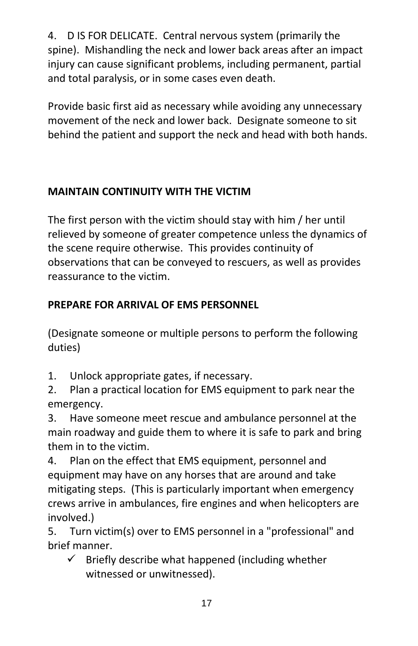4. D IS FOR DELICATE. Central nervous system (primarily the spine). Mishandling the neck and lower back areas after an impact injury can cause significant problems, including permanent, partial and total paralysis, or in some cases even death.

Provide basic first aid as necessary while avoiding any unnecessary movement of the neck and lower back. Designate someone to sit behind the patient and support the neck and head with both hands.

# **MAINTAIN CONTINUITY WITH THE VICTIM**

The first person with the victim should stay with him / her until relieved by someone of greater competence unless the dynamics of the scene require otherwise. This provides continuity of observations that can be conveyed to rescuers, as well as provides reassurance to the victim.

# **PREPARE FOR ARRIVAL OF EMS PERSONNEL**

(Designate someone or multiple persons to perform the following duties)

1. Unlock appropriate gates, if necessary.

2. Plan a practical location for EMS equipment to park near the emergency.

3. Have someone meet rescue and ambulance personnel at the main roadway and guide them to where it is safe to park and bring them in to the victim.

4. Plan on the effect that EMS equipment, personnel and equipment may have on any horses that are around and take mitigating steps. (This is particularly important when emergency crews arrive in ambulances, fire engines and when helicopters are involved.)

5. Turn victim(s) over to EMS personnel in a "professional" and brief manner.

 $\checkmark$  Briefly describe what happened (including whether witnessed or unwitnessed).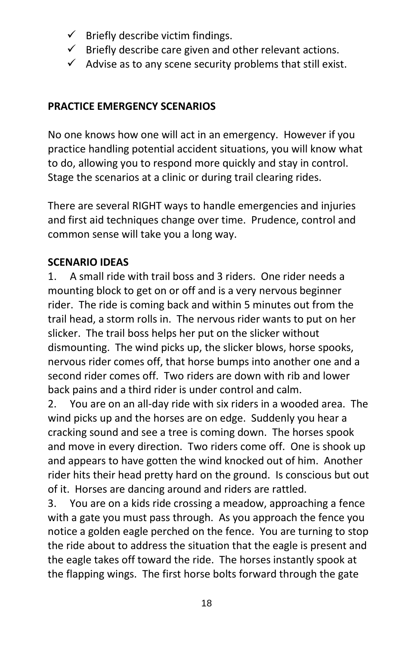- $\checkmark$  Briefly describe victim findings.
- $\checkmark$  Briefly describe care given and other relevant actions.
- $\checkmark$  Advise as to any scene security problems that still exist.

## **PRACTICE EMERGENCY SCENARIOS**

No one knows how one will act in an emergency. However if you practice handling potential accident situations, you will know what to do, allowing you to respond more quickly and stay in control. Stage the scenarios at a clinic or during trail clearing rides.

There are several RIGHT ways to handle emergencies and injuries and first aid techniques change over time. Prudence, control and common sense will take you a long way.

## **SCENARIO IDEAS**

1. A small ride with trail boss and 3 riders. One rider needs a mounting block to get on or off and is a very nervous beginner rider. The ride is coming back and within 5 minutes out from the trail head, a storm rolls in. The nervous rider wants to put on her slicker. The trail boss helps her put on the slicker without dismounting. The wind picks up, the slicker blows, horse spooks, nervous rider comes off, that horse bumps into another one and a second rider comes off. Two riders are down with rib and lower back pains and a third rider is under control and calm.

2. You are on an all-day ride with six riders in a wooded area. The wind picks up and the horses are on edge. Suddenly you hear a cracking sound and see a tree is coming down. The horses spook and move in every direction. Two riders come off. One is shook up and appears to have gotten the wind knocked out of him. Another rider hits their head pretty hard on the ground. Is conscious but out of it. Horses are dancing around and riders are rattled.

3. You are on a kids ride crossing a meadow, approaching a fence with a gate you must pass through. As you approach the fence you notice a golden eagle perched on the fence. You are turning to stop the ride about to address the situation that the eagle is present and the eagle takes off toward the ride. The horses instantly spook at the flapping wings. The first horse bolts forward through the gate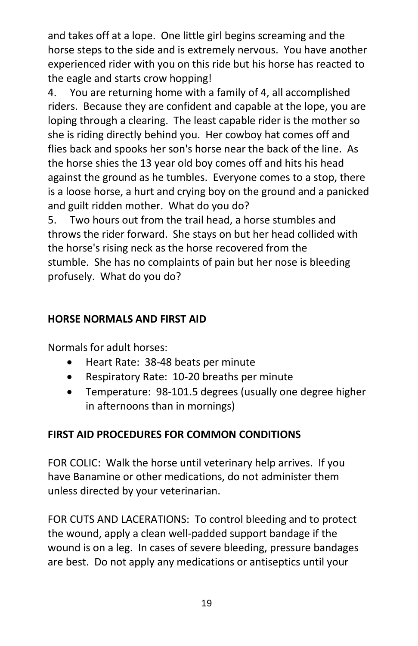and takes off at a lope. One little girl begins screaming and the horse steps to the side and is extremely nervous. You have another experienced rider with you on this ride but his horse has reacted to the eagle and starts crow hopping!

4. You are returning home with a family of 4, all accomplished riders. Because they are confident and capable at the lope, you are loping through a clearing. The least capable rider is the mother so she is riding directly behind you. Her cowboy hat comes off and flies back and spooks her son's horse near the back of the line. As the horse shies the 13 year old boy comes off and hits his head against the ground as he tumbles. Everyone comes to a stop, there is a loose horse, a hurt and crying boy on the ground and a panicked and guilt ridden mother. What do you do?

5. Two hours out from the trail head, a horse stumbles and throws the rider forward. She stays on but her head collided with the horse's rising neck as the horse recovered from the stumble. She has no complaints of pain but her nose is bleeding profusely. What do you do?

## **HORSE NORMALS AND FIRST AID**

Normals for adult horses:

- Heart Rate: 38-48 beats per minute
- Respiratory Rate: 10-20 breaths per minute
- Temperature: 98-101.5 degrees (usually one degree higher in afternoons than in mornings)

## **FIRST AID PROCEDURES FOR COMMON CONDITIONS**

FOR COLIC: Walk the horse until veterinary help arrives. If you have Banamine or other medications, do not administer them unless directed by your veterinarian.

FOR CUTS AND LACERATIONS: To control bleeding and to protect the wound, apply a clean well-padded support bandage if the wound is on a leg. In cases of severe bleeding, pressure bandages are best. Do not apply any medications or antiseptics until your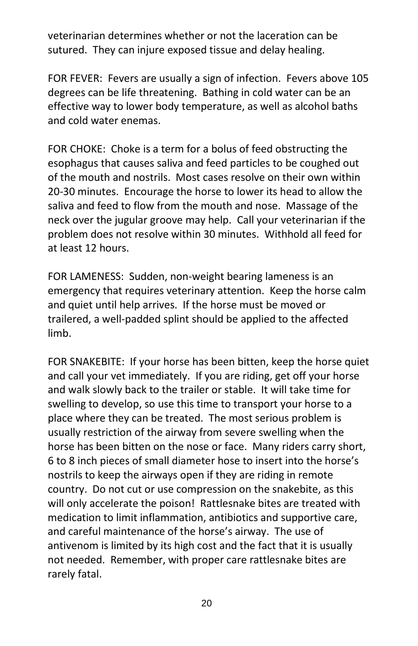veterinarian determines whether or not the laceration can be sutured. They can injure exposed tissue and delay healing.

FOR FEVER: Fevers are usually a sign of infection. Fevers above 105 degrees can be life threatening. Bathing in cold water can be an effective way to lower body temperature, as well as alcohol baths and cold water enemas.

FOR CHOKE: Choke is a term for a bolus of feed obstructing the esophagus that causes saliva and feed particles to be coughed out of the mouth and nostrils. Most cases resolve on their own within 20-30 minutes. Encourage the horse to lower its head to allow the saliva and feed to flow from the mouth and nose. Massage of the neck over the jugular groove may help. Call your veterinarian if the problem does not resolve within 30 minutes. Withhold all feed for at least 12 hours.

FOR LAMENESS: Sudden, non-weight bearing lameness is an emergency that requires veterinary attention. Keep the horse calm and quiet until help arrives. If the horse must be moved or trailered, a well-padded splint should be applied to the affected limb.

FOR SNAKEBITE: If your horse has been bitten, keep the horse quiet and call your vet immediately. If you are riding, get off your horse and walk slowly back to the trailer or stable. It will take time for swelling to develop, so use this time to transport your horse to a place where they can be treated. The most serious problem is usually restriction of the airway from severe swelling when the horse has been bitten on the nose or face. Many riders carry short, 6 to 8 inch pieces of small diameter hose to insert into the horse's nostrils to keep the airways open if they are riding in remote country. Do not cut or use compression on the snakebite, as this will only accelerate the poison! Rattlesnake bites are treated with medication to limit inflammation, antibiotics and supportive care, and careful maintenance of the horse's airway. The use of antivenom is limited by its high cost and the fact that it is usually not needed. Remember, with proper care rattlesnake bites are rarely fatal.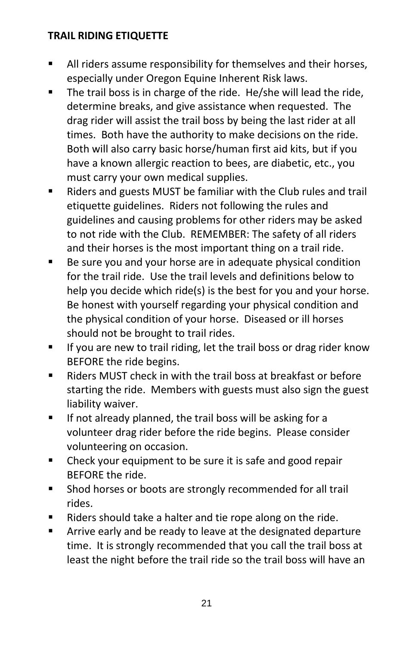#### **TRAIL RIDING ETIQUETTE**

- All riders assume responsibility for themselves and their horses, especially under Oregon Equine Inherent Risk laws.
- The trail boss is in charge of the ride. He/she will lead the ride, determine breaks, and give assistance when requested. The drag rider will assist the trail boss by being the last rider at all times. Both have the authority to make decisions on the ride. Both will also carry basic horse/human first aid kits, but if you have a known allergic reaction to bees, are diabetic, etc., you must carry your own medical supplies.
- Riders and guests MUST be familiar with the Club rules and trail etiquette guidelines. Riders not following the rules and guidelines and causing problems for other riders may be asked to not ride with the Club. REMEMBER: The safety of all riders and their horses is the most important thing on a trail ride.
- Be sure you and your horse are in adequate physical condition for the trail ride. Use the trail levels and definitions below to help you decide which ride(s) is the best for you and your horse. Be honest with yourself regarding your physical condition and the physical condition of your horse. Diseased or ill horses should not be brought to trail rides.
- If you are new to trail riding, let the trail boss or drag rider know BEFORE the ride begins.
- Riders MUST check in with the trail boss at breakfast or before starting the ride. Members with guests must also sign the guest liability waiver.
- **If not already planned, the trail boss will be asking for a** volunteer drag rider before the ride begins. Please consider volunteering on occasion.
- **EXEC** Check your equipment to be sure it is safe and good repair BEFORE the ride.
- **Shod horses or boots are strongly recommended for all trail** rides.
- Riders should take a halter and tie rope along on the ride.
- Arrive early and be ready to leave at the designated departure time. It is strongly recommended that you call the trail boss at least the night before the trail ride so the trail boss will have an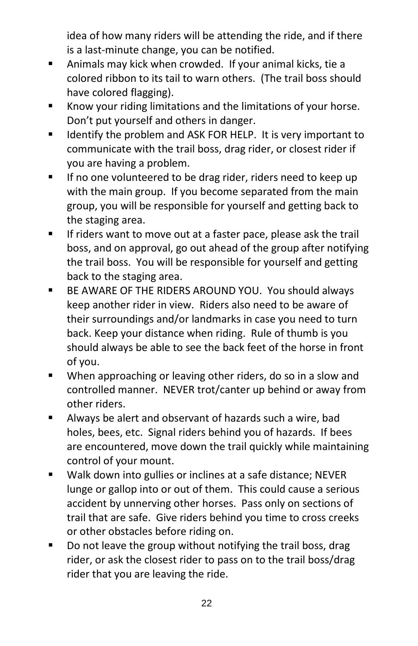idea of how many riders will be attending the ride, and if there is a last-minute change, you can be notified.

- Animals may kick when crowded. If your animal kicks, tie a colored ribbon to its tail to warn others. (The trail boss should have colored flagging).
- Know your riding limitations and the limitations of your horse. Don't put yourself and others in danger.
- **IDENTIFY THE PROBLEM ASK FOR HELP.** It is very important to communicate with the trail boss, drag rider, or closest rider if you are having a problem.
- If no one volunteered to be drag rider, riders need to keep up with the main group. If you become separated from the main group, you will be responsible for yourself and getting back to the staging area.
- If riders want to move out at a faster pace, please ask the trail boss, and on approval, go out ahead of the group after notifying the trail boss. You will be responsible for yourself and getting back to the staging area.
- **BE AWARE OF THE RIDERS AROUND YOU. You should always** keep another rider in view. Riders also need to be aware of their surroundings and/or landmarks in case you need to turn back. Keep your distance when riding. Rule of thumb is you should always be able to see the back feet of the horse in front of you.
- When approaching or leaving other riders, do so in a slow and controlled manner. NEVER trot/canter up behind or away from other riders.
- Always be alert and observant of hazards such a wire, bad holes, bees, etc. Signal riders behind you of hazards. If bees are encountered, move down the trail quickly while maintaining control of your mount.
- Walk down into gullies or inclines at a safe distance; NEVER lunge or gallop into or out of them. This could cause a serious accident by unnerving other horses. Pass only on sections of trail that are safe. Give riders behind you time to cross creeks or other obstacles before riding on.
- Do not leave the group without notifying the trail boss, drag rider, or ask the closest rider to pass on to the trail boss/drag rider that you are leaving the ride.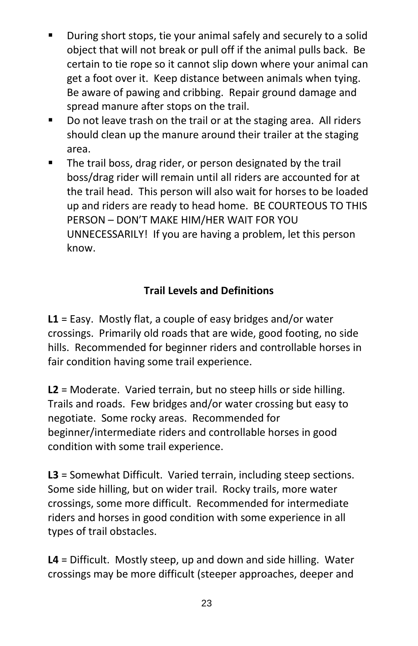- During short stops, tie your animal safely and securely to a solid object that will not break or pull off if the animal pulls back. Be certain to tie rope so it cannot slip down where your animal can get a foot over it. Keep distance between animals when tying. Be aware of pawing and cribbing. Repair ground damage and spread manure after stops on the trail.
- Do not leave trash on the trail or at the staging area. All riders should clean up the manure around their trailer at the staging area.
- The trail boss, drag rider, or person designated by the trail boss/drag rider will remain until all riders are accounted for at the trail head. This person will also wait for horses to be loaded up and riders are ready to head home. BE COURTEOUS TO THIS PERSON – DON'T MAKE HIM/HER WAIT FOR YOU UNNECESSARILY! If you are having a problem, let this person know.

## **Trail Levels and Definitions**

**L1** = Easy. Mostly flat, a couple of easy bridges and/or water crossings. Primarily old roads that are wide, good footing, no side hills. Recommended for beginner riders and controllable horses in fair condition having some trail experience.

**L2** = Moderate. Varied terrain, but no steep hills or side hilling. Trails and roads. Few bridges and/or water crossing but easy to negotiate. Some rocky areas. Recommended for beginner/intermediate riders and controllable horses in good condition with some trail experience.

**L3** = Somewhat Difficult. Varied terrain, including steep sections. Some side hilling, but on wider trail. Rocky trails, more water crossings, some more difficult. Recommended for intermediate riders and horses in good condition with some experience in all types of trail obstacles.

**L4** = Difficult. Mostly steep, up and down and side hilling. Water crossings may be more difficult (steeper approaches, deeper and